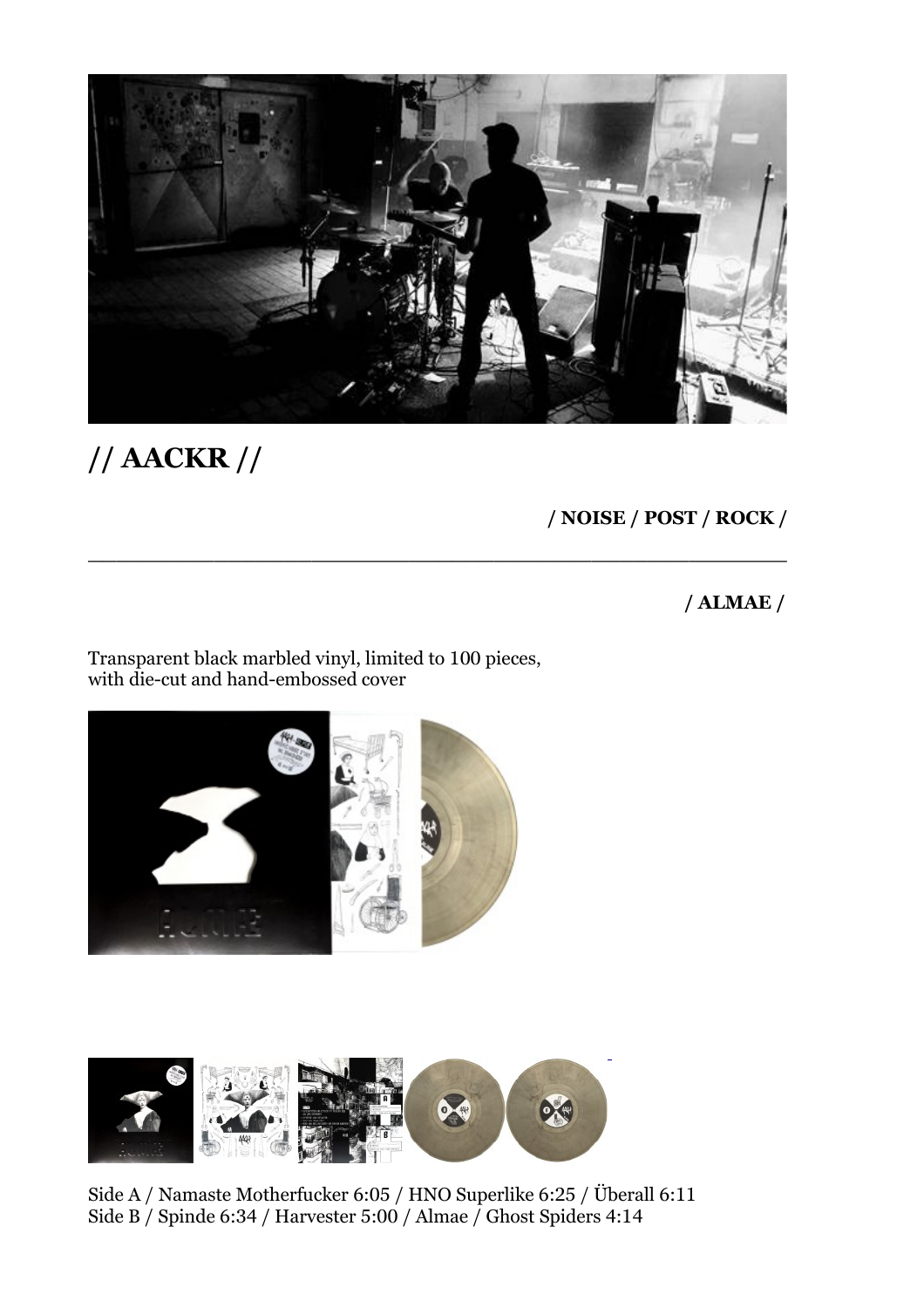

\_\_\_\_\_\_\_\_\_\_\_\_\_\_\_\_\_\_\_\_\_\_\_\_\_\_\_\_\_\_\_\_\_\_\_\_\_\_\_\_\_\_\_\_\_\_\_\_\_\_

# **// AACKR //**

## **/ NOISE / POST / ROCK /**

 **/ ALMAE /**

Transparent black marbled vinyl, limited to 100 pieces, with die-cut and hand-embossed cover





Side A / Namaste Motherfucker 6:05 / HNO Superlike 6:25 / Überall 6:11 Side B / Spinde 6:34 / Harvester 5:00 / Almae / Ghost Spiders 4:14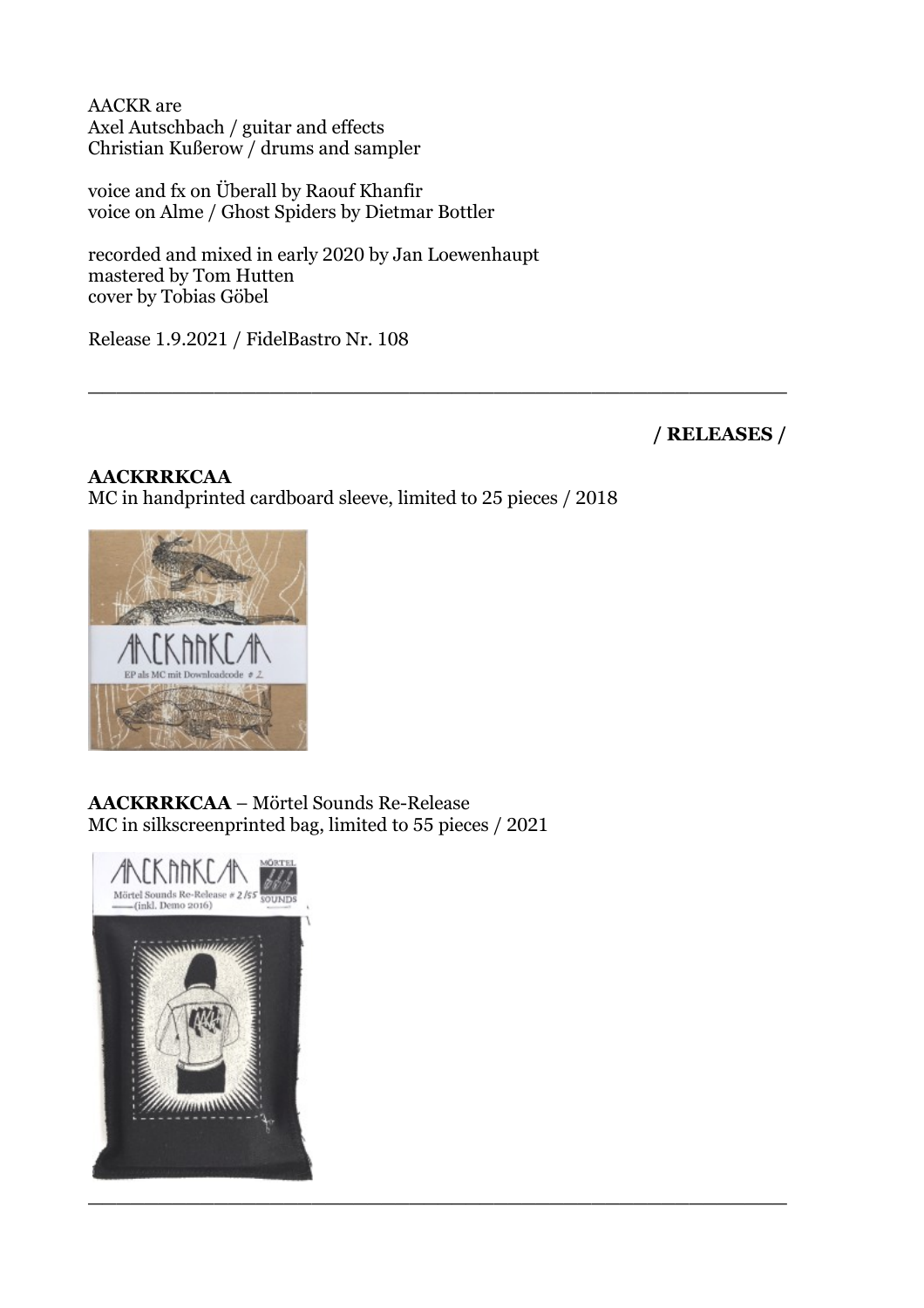AACKR are Axel Autschbach / guitar and effects Christian Kußerow / drums and sampler

voice and fx on Überall by Raouf Khanfir voice on Alme / Ghost Spiders by Dietmar Bottler

recorded and mixed in early 2020 by Jan Loewenhaupt mastered by Tom Hutten cover by Tobias Göbel

Release 1.9.2021 / FidelBastro Nr. 108

**/ RELEASES /**

#### **AACKRRKCAA** MC in handprinted cardboard sleeve, limited to 25 pieces / 2018

\_\_\_\_\_\_\_\_\_\_\_\_\_\_\_\_\_\_\_\_\_\_\_\_\_\_\_\_\_\_\_\_\_\_\_\_\_\_\_\_\_\_\_\_\_\_\_\_\_\_



**AACKRRKCAA** – Mörtel Sounds Re-Release MC in silkscreenprinted bag, limited to 55 pieces / 2021